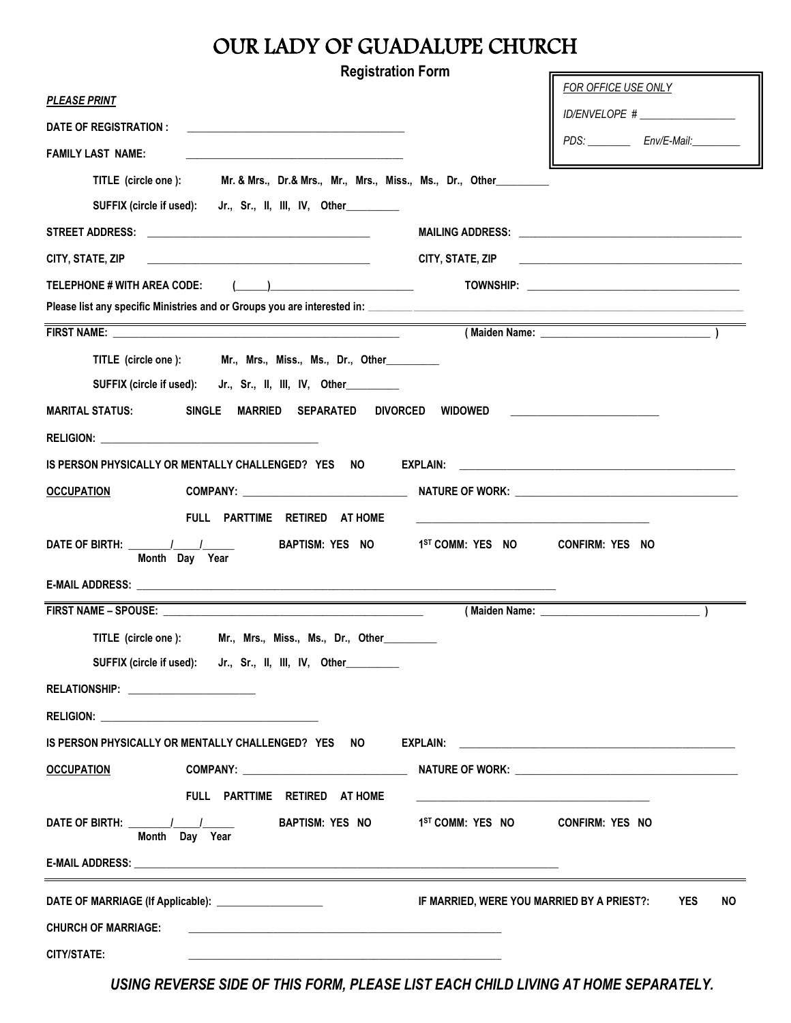## OUR LADY OF GUADALUPE CHURCH

| <b>Registration Form</b>                                                                                                               |                                                                                                                        |
|----------------------------------------------------------------------------------------------------------------------------------------|------------------------------------------------------------------------------------------------------------------------|
| <u>PLEASE PRINT</u>                                                                                                                    | FOR OFFICE USE ONLY                                                                                                    |
| DATE OF REGISTRATION :<br><u> 1980 - Jan Barbara Barat, margaret eta politikaria (h. 1908).</u>                                        | ID/ENVELOPE # _________________                                                                                        |
| <b>FAMILY LAST NAME:</b><br>the control of the control of the control of the control of the control of the control of                  | PDS: _____________ Env/E-Mail:__________                                                                               |
| TITLE (circle one ): Mr. & Mrs., Dr.& Mrs., Mr., Mrs., Miss., Ms., Dr., Other________                                                  |                                                                                                                        |
| SUFFIX (circle if used):<br>Jr., Sr., II, III, IV, Other________                                                                       |                                                                                                                        |
|                                                                                                                                        |                                                                                                                        |
| CITY, STATE, ZIP                                                                                                                       | CITY, STATE, ZIP<br><u> 1980 - Andrea Andrew Maria (h. 1980).</u>                                                      |
| TELEPHONE # WITH AREA CODE:<br>$\left(\begin{array}{c} \begin{array}{c} \begin{array}{c} \end{array}\\ \end{array}\right) \end{array}$ |                                                                                                                        |
|                                                                                                                                        |                                                                                                                        |
|                                                                                                                                        | <u> 1989 - Johann Stoff, deutscher Stoffen und der Stoffen und der Stoffen und der Stoffen und der Stoffen und der</u> |
| TITLE (circle one ): Mr., Mrs., Miss., Ms., Dr., Other                                                                                 |                                                                                                                        |
| SUFFIX (circle if used): Jr., Sr., II, III, IV, Other                                                                                  |                                                                                                                        |
| SINGLE MARRIED SEPARATED<br><b>MARITAL STATUS:</b><br><b>DIVORCED</b>                                                                  | WIDOWED                                                                                                                |
|                                                                                                                                        |                                                                                                                        |
| IS PERSON PHYSICALLY OR MENTALLY CHALLENGED? YES NO                                                                                    |                                                                                                                        |
|                                                                                                                                        |                                                                                                                        |
| <b>OCCUPATION</b>                                                                                                                      |                                                                                                                        |
| FULL PARTTIME RETIRED AT HOME                                                                                                          |                                                                                                                        |
| Month Day Year                                                                                                                         | BAPTISM: YES NO 1 <sup>ST</sup> COMM: YES NO<br><b>CONFIRM: YES NO</b>                                                 |
|                                                                                                                                        |                                                                                                                        |
|                                                                                                                                        |                                                                                                                        |
| TITLE (circle one ): Mr., Mrs., Miss., Ms., Dr., Other___                                                                              |                                                                                                                        |
| SUFFIX (circle if used): Jr., Sr., II, III, IV, Other                                                                                  |                                                                                                                        |
| RELATIONSHIP: ______________________                                                                                                   |                                                                                                                        |
|                                                                                                                                        |                                                                                                                        |
| IS PERSON PHYSICALLY OR MENTALLY CHALLENGED? YES NO                                                                                    |                                                                                                                        |
| <b>OCCUPATION</b>                                                                                                                      |                                                                                                                        |
| FULL PARTTIME RETIRED AT HOME                                                                                                          |                                                                                                                        |
| BAPTISM: YES NO<br>DATE OF BIRTH: I<br>Month Day Year                                                                                  | 1 <sup>ST</sup> COMM: YES NO CONFIRM: YES NO                                                                           |
|                                                                                                                                        |                                                                                                                        |
| DATE OF MARRIAGE (If Applicable): _____________________                                                                                | IF MARRIED, WERE YOU MARRIED BY A PRIEST?:<br><b>NO</b><br><b>YES</b>                                                  |
| <b>CHURCH OF MARRIAGE:</b>                                                                                                             |                                                                                                                        |
| CITY/STATE:                                                                                                                            |                                                                                                                        |

*USING REVERSE SIDE OF THIS FORM, PLEASE LIST EACH CHILD LIVING AT HOME SEPARATELY.*